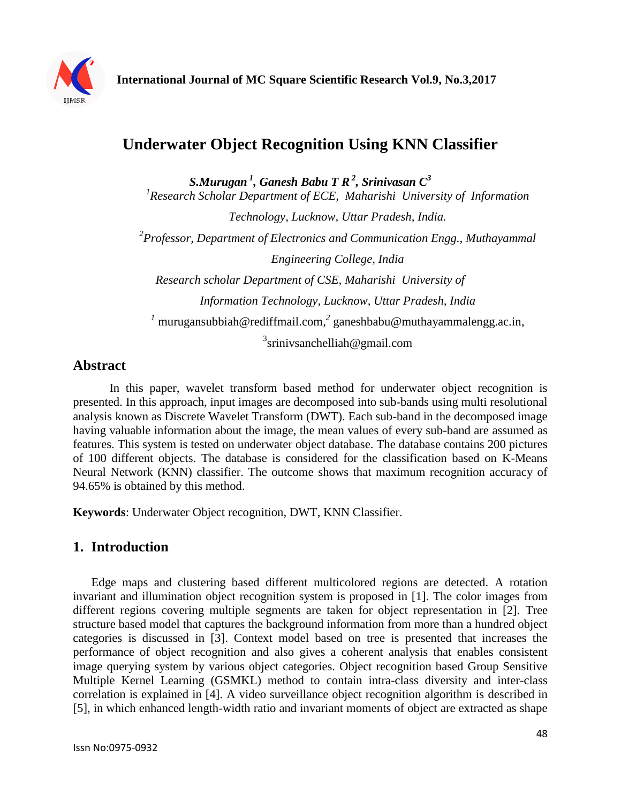

# **Underwater Object Recognition Using KNN Classifier**

*S.Murugan <sup>1</sup> , Ganesh Babu T R<sup>2</sup> , Srinivasan C<sup>3</sup>* <sup>1</sup> Research Scholar Department of ECE, Maharishi University of Information *Technology, Lucknow, Uttar Pradesh, India. 2 Professor, Department of Electronics and Communication Engg., Muthayammal Engineering College, India Research scholar Department of CSE, Maharishi University of Information Technology, Lucknow, Uttar Pradesh, India <sup>1</sup>* murugansubbiah@rediffmail.com*, 2* ganeshbabu@muthayammalengg.ac.in, <sup>3</sup>srinivsanchelliah@gmail.com

#### **Abstract**

In this paper, wavelet transform based method for underwater object recognition is presented. In this approach, input images are decomposed into sub-bands using multi resolutional analysis known as Discrete Wavelet Transform (DWT). Each sub-band in the decomposed image having valuable information about the image, the mean values of every sub-band are assumed as features. This system is tested on underwater object database. The database contains 200 pictures of 100 different objects. The database is considered for the classification based on K-Means Neural Network (KNN) classifier. The outcome shows that maximum recognition accuracy of 94.65% is obtained by this method.

**Keywords**: Underwater Object recognition, DWT, KNN Classifier.

# **1. Introduction**

Edge maps and clustering based different multicolored regions are detected. A rotation invariant and illumination object recognition system is proposed in [1]. The color images from different regions covering multiple segments are taken for object representation in [2]. Tree structure based model that captures the background information from more than a hundred object categories is discussed in [3]. Context model based on tree is presented that increases the performance of object recognition and also gives a coherent analysis that enables consistent image querying system by various object categories. Object recognition based Group Sensitive Multiple Kernel Learning (GSMKL) method to contain intra-class diversity and inter-class correlation is explained in [4]. A video surveillance object recognition algorithm is described in [5], in which enhanced length-width ratio and invariant moments of object are extracted as shape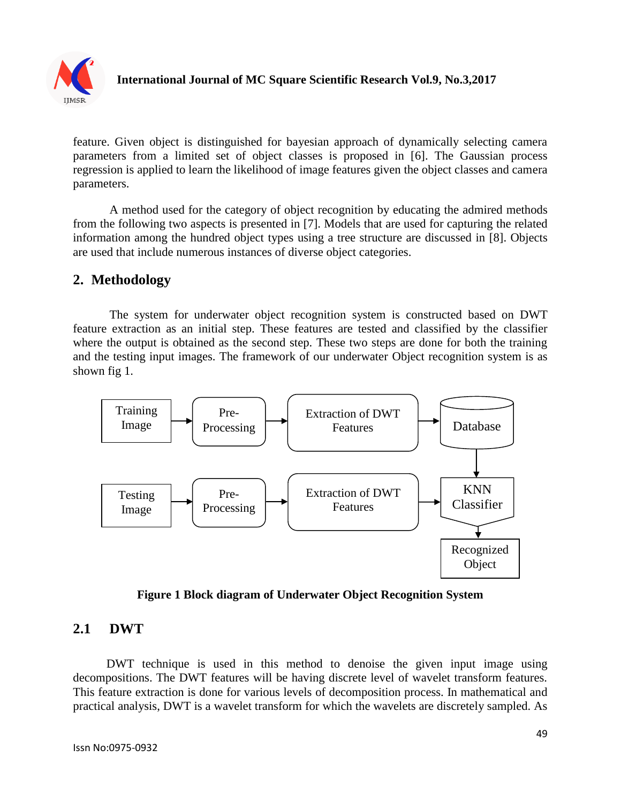

feature. Given object is distinguished for bayesian approach of dynamically selecting camera parameters from a limited set of object classes is proposed in [6]. The Gaussian process regression is applied to learn the likelihood of image features given the object classes and camera parameters.

A method used for the category of object recognition by educating the admired methods from the following two aspects is presented in [7]. Models that are used for capturing the related information among the hundred object types using a tree structure are discussed in [8]. Objects are used that include numerous instances of diverse object categories.

# **2. Methodology**

The system for underwater object recognition system is constructed based on DWT feature extraction as an initial step. These features are tested and classified by the classifier where the output is obtained as the second step. These two steps are done for both the training and the testing input images. The framework of our underwater Object recognition system is as shown fig 1.



**Figure 1 Block diagram of Underwater Object Recognition System**

# **2.1 DWT**

 DWT technique is used in this method to denoise the given input image using decompositions. The DWT features will be having discrete level of wavelet transform features. This feature extraction is done for various levels of decomposition process. In mathematical and practical analysis, DWT is a wavelet transform for which the wavelets are discretely sampled. As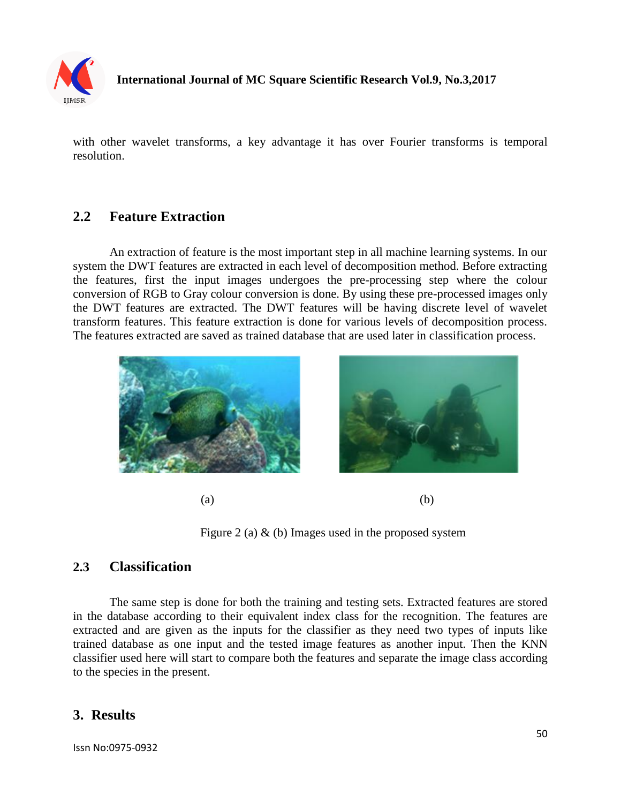

#### **International Journal of MC Square Scientific Research Vol.9, No.3,2017**

with other wavelet transforms, a key advantage it has over Fourier transforms is temporal resolution.

#### **2.2 Feature Extraction**

An extraction of feature is the most important step in all machine learning systems. In our system the DWT features are extracted in each level of decomposition method. Before extracting the features, first the input images undergoes the pre-processing step where the colour conversion of RGB to Gray colour conversion is done. By using these pre-processed images only the DWT features are extracted. The DWT features will be having discrete level of wavelet transform features. This feature extraction is done for various levels of decomposition process. The features extracted are saved as trained database that are used later in classification process.



 $(a)$  (b)

Figure 2 (a)  $\&$  (b) Images used in the proposed system

# **2.3 Classification**

The same step is done for both the training and testing sets. Extracted features are stored in the database according to their equivalent index class for the recognition. The features are extracted and are given as the inputs for the classifier as they need two types of inputs like trained database as one input and the tested image features as another input. Then the KNN classifier used here will start to compare both the features and separate the image class according to the species in the present.

# **3. Results**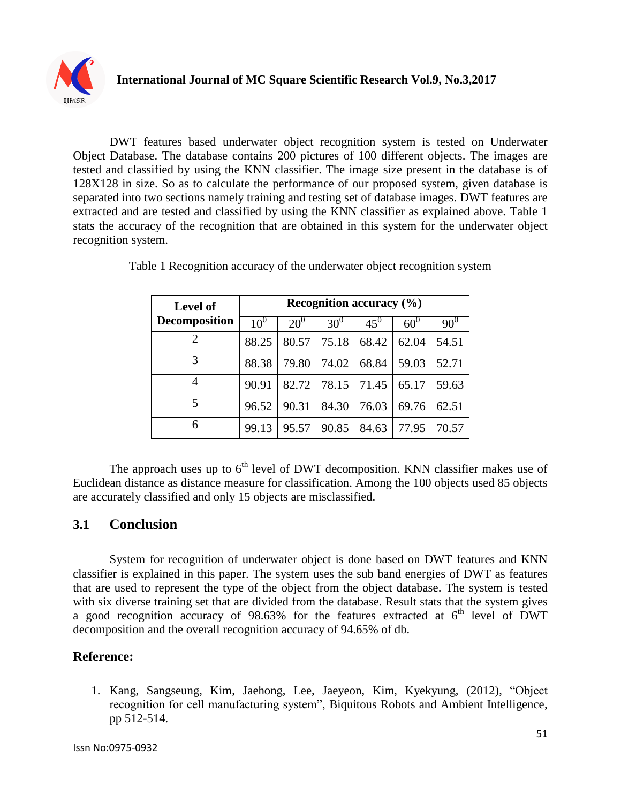

DWT features based underwater object recognition system is tested on Underwater Object Database. The database contains 200 pictures of 100 different objects. The images are tested and classified by using the KNN classifier. The image size present in the database is of 128X128 in size. So as to calculate the performance of our proposed system, given database is separated into two sections namely training and testing set of database images. DWT features are extracted and are tested and classified by using the KNN classifier as explained above. Table 1 stats the accuracy of the recognition that are obtained in this system for the underwater object recognition system.

| <b>Level of</b>      | <b>Recognition accuracy (%)</b> |              |        |        |            |            |
|----------------------|---------------------------------|--------------|--------|--------|------------|------------|
| <b>Decomposition</b> | $10^{0}$                        | $20^{\circ}$ | $30^0$ | $45^0$ | $60^\circ$ | $90^\circ$ |
|                      | 88.25                           | 80.57        | 75.18  | 68.42  | 62.04      | 54.51      |
| 3                    | 88.38                           | 79.80        | 74.02  | 68.84  | 59.03      | 52.71      |
| 4                    | 90.91                           | 82.72        | 78.15  | 71.45  | 65.17      | 59.63      |
| 5                    | 96.52                           | 90.31        | 84.30  | 76.03  | 69.76      | 62.51      |
| 6                    | 99.13                           | 95.57        | 90.85  | 84.63  | 77.95      | 70.57      |

Table 1 Recognition accuracy of the underwater object recognition system

The approach uses up to  $6<sup>th</sup>$  level of DWT decomposition. KNN classifier makes use of Euclidean distance as distance measure for classification. Among the 100 objects used 85 objects are accurately classified and only 15 objects are misclassified.

# **3.1 Conclusion**

System for recognition of underwater object is done based on DWT features and KNN classifier is explained in this paper. The system uses the sub band energies of DWT as features that are used to represent the type of the object from the object database. The system is tested with six diverse training set that are divided from the database. Result stats that the system gives a good recognition accuracy of 98.63% for the features extracted at  $6<sup>th</sup>$  level of DWT decomposition and the overall recognition accuracy of 94.65% of db.

# **Reference:**

1. Kang, Sangseung, Kim, Jaehong, Lee, Jaeyeon, Kim, Kyekyung, (2012), "Object recognition for cell manufacturing system", Biquitous Robots and Ambient Intelligence, pp 512-514.